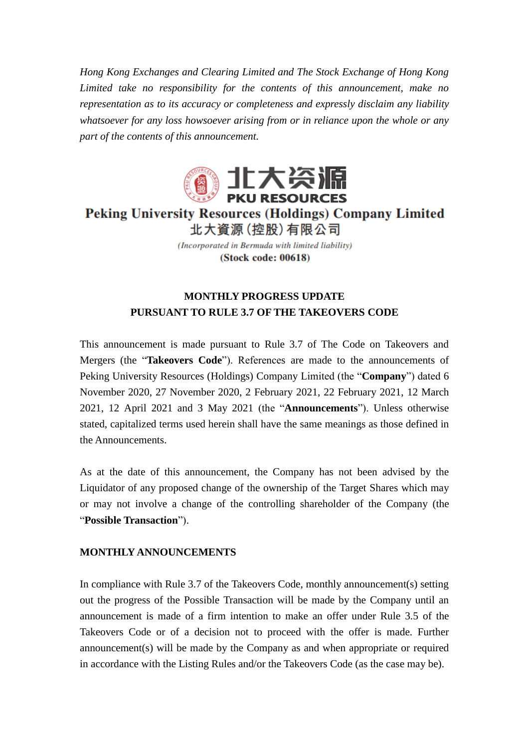*Hong Kong Exchanges and Clearing Limited and The Stock Exchange of Hong Kong Limited take no responsibility for the contents of this announcement, make no representation as to its accuracy or completeness and expressly disclaim any liability whatsoever for any loss howsoever arising from or in reliance upon the whole or any part of the contents of this announcement.*



**Peking University Resources (Holdings) Company Limited** 北大資源 (控股) 有限公司

> (Incorporated in Bermuda with limited liability) (Stock code: 00618)

## **MONTHLY PROGRESS UPDATE PURSUANT TO RULE 3.7 OF THE TAKEOVERS CODE**

This announcement is made pursuant to Rule 3.7 of The Code on Takeovers and Mergers (the "**Takeovers Code**"). References are made to the announcements of Peking University Resources (Holdings) Company Limited (the "**Company**") dated 6 November 2020, 27 November 2020, 2 February 2021, 22 February 2021, 12 March 2021, 12 April 2021 and 3 May 2021 (the "**Announcements**"). Unless otherwise stated, capitalized terms used herein shall have the same meanings as those defined in the Announcements.

As at the date of this announcement, the Company has not been advised by the Liquidator of any proposed change of the ownership of the Target Shares which may or may not involve a change of the controlling shareholder of the Company (the "**Possible Transaction**").

## **MONTHLY ANNOUNCEMENTS**

In compliance with Rule 3.7 of the Takeovers Code, monthly announcement(s) setting out the progress of the Possible Transaction will be made by the Company until an announcement is made of a firm intention to make an offer under Rule 3.5 of the Takeovers Code or of a decision not to proceed with the offer is made. Further announcement(s) will be made by the Company as and when appropriate or required in accordance with the Listing Rules and/or the Takeovers Code (as the case may be).